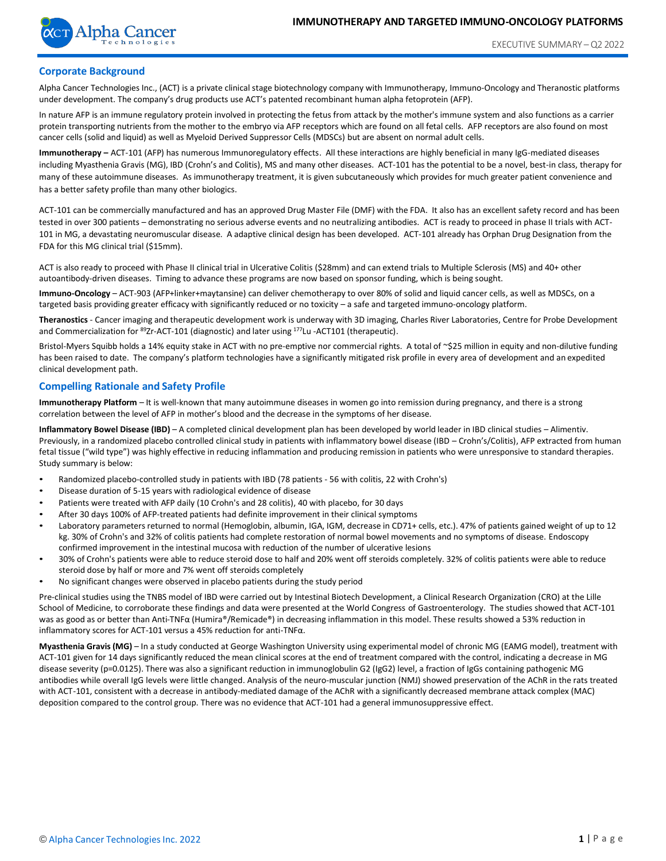

# **Corporate Background**

Alpha Cancer Technologies Inc., (ACT) is a private clinical stage biotechnology company with Immunotherapy, Immuno-Oncology and Theranostic platforms under development. The company's drug products use ACT's patented recombinant human alpha fetoprotein (AFP).

In nature AFP is an immune regulatory protein involved in protecting the fetus from attack by the mother's immune system and also functions as a carrier protein transporting nutrients from the mother to the embryo via AFP receptors which are found on all fetal cells. AFP receptors are also found on most cancer cells (solid and liquid) as well as Myeloid Derived Suppressor Cells (MDSCs) but are absent on normal adult cells.

**Immunotherapy –** ACT-101 (AFP) has numerous Immunoregulatory effects. All these interactions are highly beneficial in many IgG-mediated diseases including Myasthenia Gravis (MG), IBD (Crohn's and Colitis), MS and many other diseases. ACT-101 has the potential to be a novel, best-in class, therapy for many of these autoimmune diseases. As immunotherapy treatment, it is given subcutaneously which provides for much greater patient convenience and has a better safety profile than many other biologics.

ACT-101 can be commercially manufactured and has an approved Drug Master File (DMF) with the FDA. It also has an excellent safety record and has been tested in over 300 patients – demonstrating no serious adverse events and no neutralizing antibodies. ACT is ready to proceed in phase II trials with ACT-101 in MG, a devastating neuromuscular disease. A adaptive clinical design has been developed. ACT-101 already has Orphan Drug Designation from the FDA for this MG clinical trial (\$15mm).

ACT is also ready to proceed with Phase II clinical trial in Ulcerative Colitis (\$28mm) and can extend trials to Multiple Sclerosis (MS) and 40+ other autoantibody-driven diseases. Timing to advance these programs are now based on sponsor funding, which is being sought.

**Immuno-Oncology** – ACT-903 (AFP+linker+maytansine) can deliver chemotherapy to over 80% of solid and liquid cancer cells, as well as MDSCs, on a targeted basis providing greater efficacy with significantly reduced or no toxicity – a safe and targeted immuno-oncology platform.

**Theranostics** - Cancer imaging and therapeutic development work is underway with 3D imaging, Charles River Laboratories, Centre for Probe Development and Commercialization for <sup>89</sup>Zr-ACT-101 (diagnostic) and later using <sup>177</sup>Lu -ACT101 (therapeutic).

Bristol-Myers Squibb holds a 14% equity stake in ACT with no pre-emptive nor commercial rights. A total of ~\$25 million in equity and non-dilutive funding has been raised to date. The company's platform technologies have a significantly mitigated risk profile in every area of development and an expedited clinical development path.

# **Compelling Rationale and Safety Profile**

**Immunotherapy Platform** – It is well-known that many autoimmune diseases in women go into remission during pregnancy, and there is a strong correlation between the level of AFP in mother's blood and the decrease in the symptoms of her disease.

**Inflammatory Bowel Disease (IBD)** – A completed clinical development plan has been developed by world leader in IBD clinical studies – Alimentiv. Previously, in a randomized placebo controlled clinical study in patients with inflammatory bowel disease (IBD - Crohn's/Colitis), AFP extracted from human fetal tissue ("wild type") was highly effective in reducing inflammation and producing remission in patients who were unresponsive to standard therapies. Study summary is below:

- Randomized placebo-controlled study in patients with IBD (78 patients 56 with colitis, 22 with Crohn's)
- Disease duration of 5-15 years with radiological evidence of disease
- Patients were treated with AFP daily (10 Crohn's and 28 colitis), 40 with placebo, for 30 days
- After 30 days 100% of AFP-treated patients had definite improvement in their clinical symptoms
- Laboratory parameters returned to normal (Hemoglobin, albumin, IGA, IGM, decrease in СD71+ cells, etc.). 47% of patients gained weight of up to 12 kg. 30% of Crohn's and 32% of colitis patients had complete restoration of normal bowel movements and no symptoms of disease. Endoscopy confirmed improvement in the intestinal mucosa with reduction of the number of ulcerative lesions
- 30% of Crohn's patients were able to reduce steroid dose to half and 20% went off steroids completely. 32% of colitis patients were able to reduce steroid dose by half or more and 7% went off steroids completely
- No significant changes were observed in placebo patients during the study period

Pre-clinical studies using the TNBS model of IBD were carried out by Intestinal Biotech Development, a Clinical Research Organization (CRO) at the Lille School of Medicine, to corroborate these findings and data were presented at the World Congress of Gastroenterology. The studies showed that ACT-101 was as good as or better than Anti-TNFα (Humira®/Remicade®) in decreasing inflammation in this model. These results showed a 53% reduction in inflammatory scores for ACT-101 versus a 45% reduction for anti-TNFα.

**Myasthenia Gravis (MG)** – In a study conducted at George Washington University using experimental model of chronic MG (EAMG model), treatment with ACT-101 given for 14 days significantly reduced the mean clinical scores at the end of treatment compared with the control, indicating a decrease in MG disease severity (p=0.0125). There was also a significant reduction in immunoglobulin G2 (IgG2) level, a fraction of IgGs containing pathogenic MG antibodies while overall IgG levels were little changed. Analysis of the neuro-muscular junction (NMJ) showed preservation of the AChR in the rats treated with ACT-101, consistent with a decrease in antibody-mediated damage of the AChR with a significantly decreased membrane attack complex (MAC) deposition compared to the control group. There was no evidence that ACT-101 had a general immunosuppressive effect.